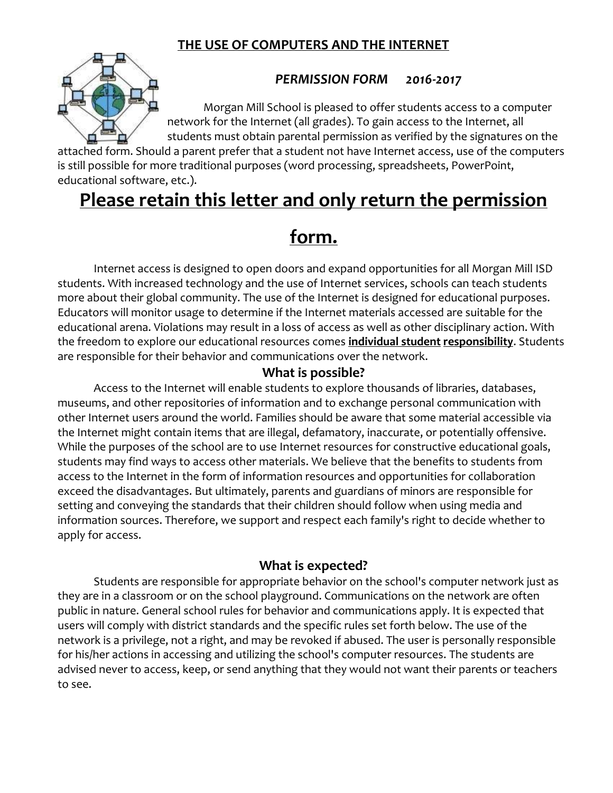## **THE USE OF COMPUTERS AND THE INTERNET**



### *PERMISSION FORM 2016-2017*

Morgan Mill School is pleased to offer students access to a computer network for the Internet (all grades). To gain access to the Internet, all students must obtain parental permission as verified by the signatures on the

attached form. Should a parent prefer that a student not have Internet access, use of the computers is still possible for more traditional purposes (word processing, spreadsheets, PowerPoint, educational software, etc.).

# **Please retain this letter and only return the permission**

# **form.**

Internet access is designed to open doors and expand opportunities for all Morgan Mill ISD students. With increased technology and the use of Internet services, schools can teach students more about their global community. The use of the Internet is designed for educational purposes. Educators will monitor usage to determine if the Internet materials accessed are suitable for the educational arena. Violations may result in a loss of access as well as other disciplinary action. With the freedom to explore our educational resources comes **individual student responsibility**. Students are responsible for their behavior and communications over the network.

### **What is possible?**

Access to the Internet will enable students to explore thousands of libraries, databases, museums, and other repositories of information and to exchange personal communication with other Internet users around the world. Families should be aware that some material accessible via the Internet might contain items that are illegal, defamatory, inaccurate, or potentially offensive. While the purposes of the school are to use Internet resources for constructive educational goals, students may find ways to access other materials. We believe that the benefits to students from access to the Internet in the form of information resources and opportunities for collaboration exceed the disadvantages. But ultimately, parents and guardians of minors are responsible for setting and conveying the standards that their children should follow when using media and information sources. Therefore, we support and respect each family's right to decide whether to apply for access.

### **What is expected?**

Students are responsible for appropriate behavior on the school's computer network just as they are in a classroom or on the school playground. Communications on the network are often public in nature. General school rules for behavior and communications apply. It is expected that users will comply with district standards and the specific rules set forth below. The use of the network is a privilege, not a right, and may be revoked if abused. The user is personally responsible for his/her actions in accessing and utilizing the school's computer resources. The students are advised never to access, keep, or send anything that they would not want their parents or teachers to see.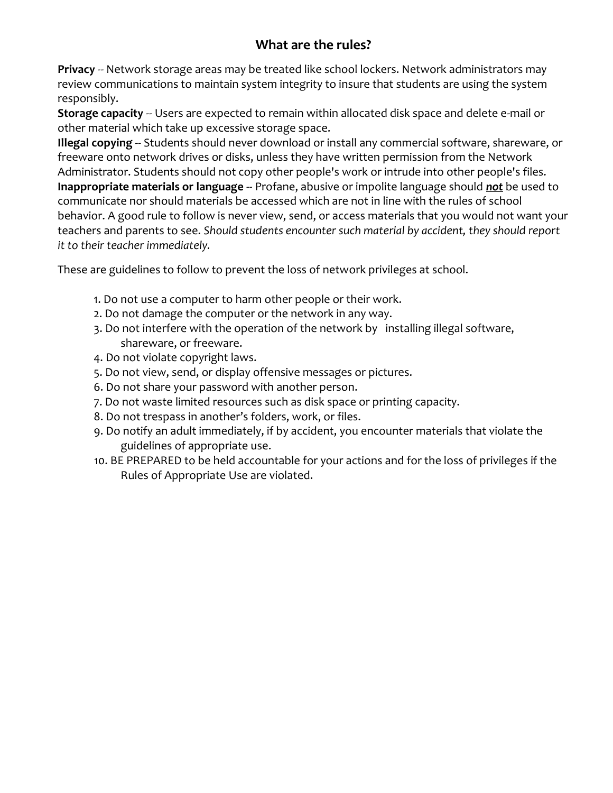## **What are the rules?**

**Privacy** -- Network storage areas may be treated like school lockers. Network administrators may review communications to maintain system integrity to insure that students are using the system responsibly.

**Storage capacity** -- Users are expected to remain within allocated disk space and delete e-mail or other material which take up excessive storage space.

**Illegal copying** -- Students should never download or install any commercial software, shareware, or freeware onto network drives or disks, unless they have written permission from the Network Administrator. Students should not copy other people's work or intrude into other people's files. **Inappropriate materials or language** -- Profane, abusive or impolite language should *not* be used to communicate nor should materials be accessed which are not in line with the rules of school behavior. A good rule to follow is never view, send, or access materials that you would not want your teachers and parents to see. *Should students encounter such material by accident, they should report it to their teacher immediately.*

These are guidelines to follow to prevent the loss of network privileges at school.

- 1. Do not use a computer to harm other people or their work.
- 2. Do not damage the computer or the network in any way.
- 3. Do not interfere with the operation of the network by installing illegal software, shareware, or freeware.
- 4. Do not violate copyright laws.
- 5. Do not view, send, or display offensive messages or pictures.
- 6. Do not share your password with another person.
- 7. Do not waste limited resources such as disk space or printing capacity.
- 8. Do not trespass in another's folders, work, or files.
- 9. Do notify an adult immediately, if by accident, you encounter materials that violate the guidelines of appropriate use.
- 10. BE PREPARED to be held accountable for your actions and for the loss of privileges if the Rules of Appropriate Use are violated.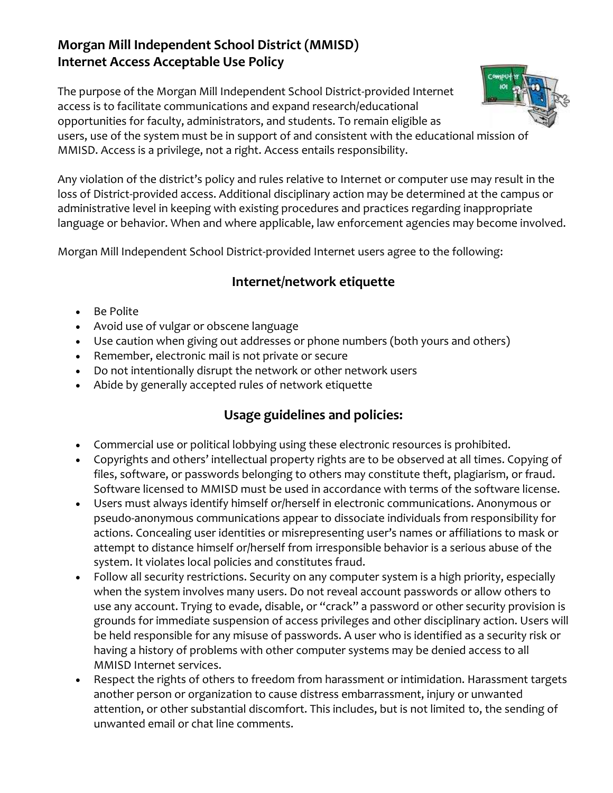## **Morgan Mill Independent School District (MMISD) Internet Access Acceptable Use Policy**

The purpose of the Morgan Mill Independent School District-provided Internet access is to facilitate communications and expand research/educational opportunities for faculty, administrators, and students. To remain eligible as users, use of the system must be in support of and consistent with the educational mission of MMISD. Access is a privilege, not a right. Access entails responsibility.

Any violation of the district's policy and rules relative to Internet or computer use may result in the loss of District-provided access. Additional disciplinary action may be determined at the campus or administrative level in keeping with existing procedures and practices regarding inappropriate language or behavior. When and where applicable, law enforcement agencies may become involved.

Morgan Mill Independent School District-provided Internet users agree to the following:

### **Internet/network etiquette**

- Be Polite
- Avoid use of vulgar or obscene language
- Use caution when giving out addresses or phone numbers (both yours and others)
- Remember, electronic mail is not private or secure
- Do not intentionally disrupt the network or other network users
- Abide by generally accepted rules of network etiquette

### **Usage guidelines and policies:**

- Commercial use or political lobbying using these electronic resources is prohibited.
- Copyrights and others' intellectual property rights are to be observed at all times. Copying of files, software, or passwords belonging to others may constitute theft, plagiarism, or fraud. Software licensed to MMISD must be used in accordance with terms of the software license.
- Users must always identify himself or/herself in electronic communications. Anonymous or pseudo-anonymous communications appear to dissociate individuals from responsibility for actions. Concealing user identities or misrepresenting user's names or affiliations to mask or attempt to distance himself or/herself from irresponsible behavior is a serious abuse of the system. It violates local policies and constitutes fraud.
- Follow all security restrictions. Security on any computer system is a high priority, especially when the system involves many users. Do not reveal account passwords or allow others to use any account. Trying to evade, disable, or "crack" a password or other security provision is grounds for immediate suspension of access privileges and other disciplinary action. Users will be held responsible for any misuse of passwords. A user who is identified as a security risk or having a history of problems with other computer systems may be denied access to all MMISD Internet services.
- Respect the rights of others to freedom from harassment or intimidation. Harassment targets another person or organization to cause distress embarrassment, injury or unwanted attention, or other substantial discomfort. This includes, but is not limited to, the sending of unwanted email or chat line comments.

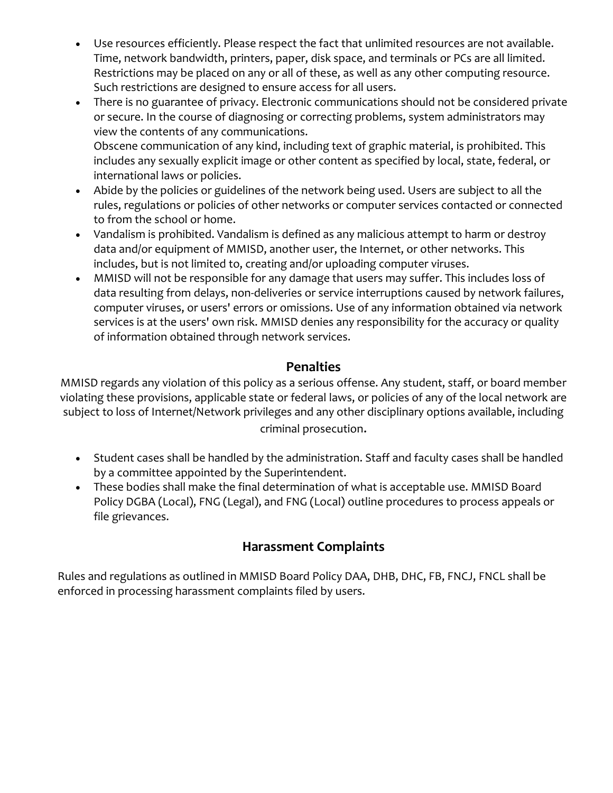- Use resources efficiently. Please respect the fact that unlimited resources are not available. Time, network bandwidth, printers, paper, disk space, and terminals or PCs are all limited. Restrictions may be placed on any or all of these, as well as any other computing resource. Such restrictions are designed to ensure access for all users.
- There is no guarantee of privacy. Electronic communications should not be considered private or secure. In the course of diagnosing or correcting problems, system administrators may view the contents of any communications. Obscene communication of any kind, including text of graphic material, is prohibited. This includes any sexually explicit image or other content as specified by local, state, federal, or international laws or policies.
- Abide by the policies or guidelines of the network being used. Users are subject to all the rules, regulations or policies of other networks or computer services contacted or connected to from the school or home.
- Vandalism is prohibited. Vandalism is defined as any malicious attempt to harm or destroy data and/or equipment of MMISD, another user, the Internet, or other networks. This includes, but is not limited to, creating and/or uploading computer viruses.
- MMISD will not be responsible for any damage that users may suffer. This includes loss of data resulting from delays, non-deliveries or service interruptions caused by network failures, computer viruses, or users' errors or omissions. Use of any information obtained via network services is at the users' own risk. MMISD denies any responsibility for the accuracy or quality of information obtained through network services.

### **Penalties**

MMISD regards any violation of this policy as a serious offense. Any student, staff, or board member violating these provisions, applicable state or federal laws, or policies of any of the local network are subject to loss of Internet/Network privileges and any other disciplinary options available, including criminal prosecution.

- Student cases shall be handled by the administration. Staff and faculty cases shall be handled by a committee appointed by the Superintendent.
- These bodies shall make the final determination of what is acceptable use. MMISD Board Policy DGBA (Local), FNG (Legal), and FNG (Local) outline procedures to process appeals or file grievances.

## **Harassment Complaints**

Rules and regulations as outlined in MMISD Board Policy DAA, DHB, DHC, FB, FNCJ, FNCL shall be enforced in processing harassment complaints filed by users.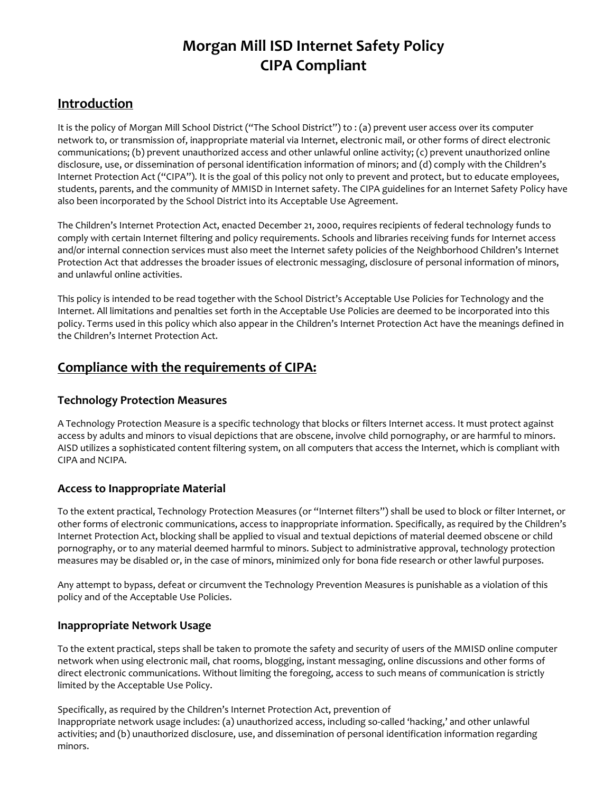## **Morgan Mill ISD Internet Safety Policy CIPA Compliant**

### **Introduction**

It is the policy of Morgan Mill School District ("The School District") to : (a) prevent user access over its computer network to, or transmission of, inappropriate material via Internet, electronic mail, or other forms of direct electronic communications; (b) prevent unauthorized access and other unlawful online activity; (c) prevent unauthorized online disclosure, use, or dissemination of personal identification information of minors; and (d) comply with the Children's Internet Protection Act ("CIPA"). It is the goal of this policy not only to prevent and protect, but to educate employees, students, parents, and the community of MMISD in Internet safety. The CIPA guidelines for an Internet Safety Policy have also been incorporated by the School District into its Acceptable Use Agreement.

The Children's Internet Protection Act, enacted December 21, 2000, requires recipients of federal technology funds to comply with certain Internet filtering and policy requirements. Schools and libraries receiving funds for Internet access and/or internal connection services must also meet the Internet safety policies of the Neighborhood Children's Internet Protection Act that addresses the broader issues of electronic messaging, disclosure of personal information of minors, and unlawful online activities.

This policy is intended to be read together with the School District's Acceptable Use Policies for Technology and the Internet. All limitations and penalties set forth in the Acceptable Use Policies are deemed to be incorporated into this policy. Terms used in this policy which also appear in the Children's Internet Protection Act have the meanings defined in the Children's Internet Protection Act.

### **Compliance with the requirements of CIPA:**

#### **Technology Protection Measures**

A Technology Protection Measure is a specific technology that blocks or filters Internet access. It must protect against access by adults and minors to visual depictions that are obscene, involve child pornography, or are harmful to minors. AISD utilizes a sophisticated content filtering system, on all computers that access the Internet, which is compliant with CIPA and NCIPA.

#### **Access to Inappropriate Material**

To the extent practical, Technology Protection Measures (or "Internet filters") shall be used to block or filter Internet, or other forms of electronic communications, access to inappropriate information. Specifically, as required by the Children's Internet Protection Act, blocking shall be applied to visual and textual depictions of material deemed obscene or child pornography, or to any material deemed harmful to minors. Subject to administrative approval, technology protection measures may be disabled or, in the case of minors, minimized only for bona fide research or other lawful purposes.

Any attempt to bypass, defeat or circumvent the Technology Prevention Measures is punishable as a violation of this policy and of the Acceptable Use Policies.

#### **Inappropriate Network Usage**

To the extent practical, steps shall be taken to promote the safety and security of users of the MMISD online computer network when using electronic mail, chat rooms, blogging, instant messaging, online discussions and other forms of direct electronic communications. Without limiting the foregoing, access to such means of communication is strictly limited by the Acceptable Use Policy.

Specifically, as required by the Children's Internet Protection Act, prevention of Inappropriate network usage includes: (a) unauthorized access, including so-called 'hacking,' and other unlawful activities; and (b) unauthorized disclosure, use, and dissemination of personal identification information regarding minors.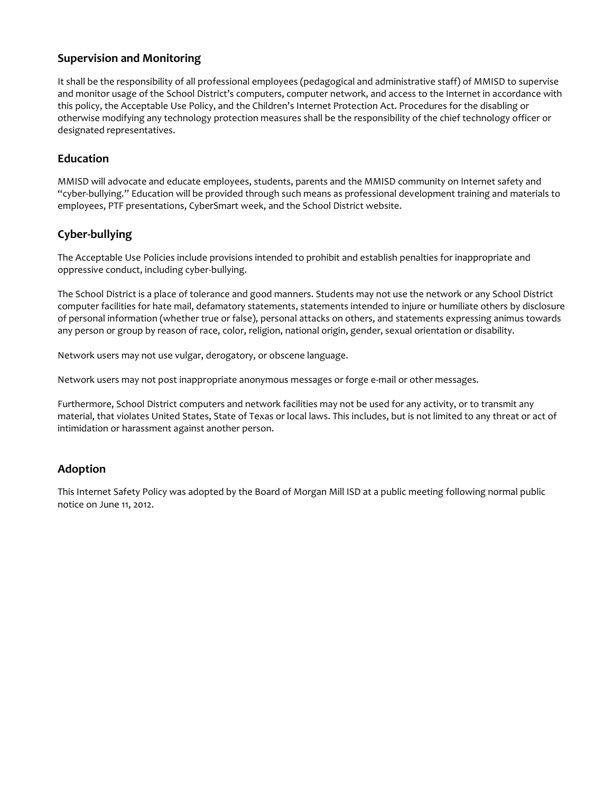#### **Supervision and Monitoring**

It shall be the responsibility of all professional employees (pedagogical and administrative staff) of MMISD to supervise and monitor usage of the School District's computers, computer network, and access to the Internet in accordance with this policy, the Acceptable Use Policy, and the Children's Internet Protection Act. Procedures for the disabling or otherwise modifying any technology protection measures shall be the responsibility of the chief technology officer or designated representatives.

#### **Education**

MMISD will advocate and educate employees, students, parents and the MMISD community on Internet safety and "cyber-bullying." Education will be provided through such means as professional development training and materials to employees, PTF presentations, CyberSmart week, and the School District website.

#### **Cyber-bullying**

The Acceptable Use Policies include provisions intended to prohibit and establish penalties for inappropriate and oppressive conduct, including cyber-bullying.

The School District is a place of tolerance and good manners. Students may not use the network or any School District computer facilities for hate mail, defamatory statements, statements intended to injure or humiliate others by disclosure of personal information (whether true or false), personal attacks on others, and statements expressing animus towards any person or group by reason of race, color, religion, national origin, gender, sexual orientation or disability.

Network users may not use vulgar, derogatory, or obscene language.

Network users may not post inappropriate anonymous messages or forge e-mail or other messages.

Furthermore, School District computers and network facilities may not be used for any activity, or to transmit any material, that violates United States, State of Texas or local laws. This includes, but is not limited to any threat or act of intimidation or harassment against another person.

#### **Adoption**

This Internet Safety Policy was adopted by the Board of Morgan Mill ISD at a public meeting following normal public notice on June 11, 2012.